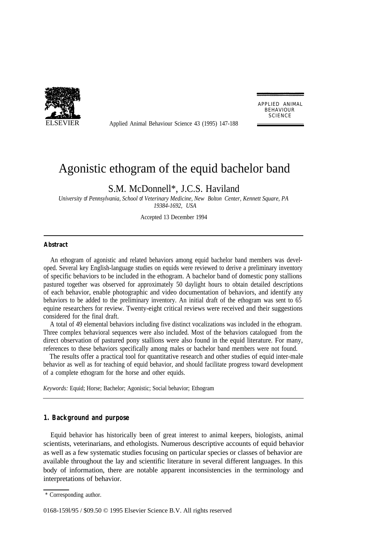

Applied Animal Behaviour Science 43 (1995) 147-188

APPLIED ANIMAL BEHAVIOUR **SCIENCE** 

# Agonistic ethogram of the equid bachelor band

S.M. McDonnell\*, J.C.S. Haviland

*University of Pennsylvania, School of Veterinary Medicine, New Bolton Center, Kennett Square, PA 19384-1692, USA*

Accepted 13 December 1994

# **Abstract**

An ethogram of agonistic and related behaviors among equid bachelor band members was developed. Several key English-language studies on equids were reviewed to derive a preliminary inventory of specific behaviors to be included in the ethogram. A bachelor band of domestic pony stallions pastured together was observed for approximately 50 daylight hours to obtain detailed descriptions of each behavior, enable photographic and video documentation of behaviors, and identify any behaviors to be added to the preliminary inventory. An initial draft of the ethogram was sent to 65 equine researchers for review. Twenty-eight critical reviews were received and their suggestions considered for the final draft.

A total of 49 elemental behaviors including five distinct vocalizations was included in the ethogram. Three complex behavioral sequences were also included. Most of the behaviors catalogued from the direct observation of pastured pony stallions were also found in the equid literature. For many, references to these behaviors specifically among males or bachelor band members were not found.

The results offer a practical tool for quantitative research and other studies of equid inter-male behavior as well as for teaching of equid behavior, and should facilitate progress toward development of a complete ethogram for the horse and other equids.

*Keywords:* Equid; Horse; Bachelor; Agonistic; Social behavior; Ethogram

# **1. Background and purpose**

Equid behavior has historically been of great interest to animal keepers, biologists, animal scientists, veterinarians, and ethologists. Numerous descriptive accounts of equid behavior as well as a few systematic studies focusing on particular species or classes of behavior are available throughout the lay and scientific literature in several different languages. In this body of information, there are notable apparent inconsistencies in the terminology and interpretations of behavior.

<sup>\*</sup> Corresponding author.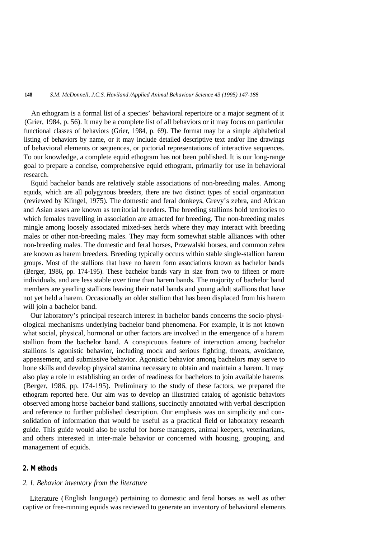### **148** *S.M. McDonnell, J.C.S. Haviland /Applied Animal Behaviour Science 43 (1995) 147-188*

An ethogram is a formal list of a species' behavioral repertoire or a major segment of it (Grier, 1984, p. 56). It may be a complete list of all behaviors or it may focus on particular functional classes of behaviors (Grier, 1984, p. 69). The format may be a simple alphabetical listing of behaviors by name, or it may include detailed descriptive text and/or line drawings of behavioral elements or sequences, or pictorial representations of interactive sequences. To our knowledge, a complete equid ethogram has not been published. It is our long-range goal to prepare a concise, comprehensive equid ethogram, primarily for use in behavioral research.

Equid bachelor bands are relatively stable associations of non-breeding males. Among equids, which are all polygynous breeders, there are two distinct types of social organization (reviewed by Klingel, 1975). The domestic and feral donkeys, Grevy's zebra, and African and Asian asses are known as territorial breeders. The breeding stallions hold territories to which females travelling in association are attracted for breeding. The non-breeding males mingle among loosely associated mixed-sex herds where they may interact with breeding males or other non-breeding males. They may form somewhat stable alliances with other non-breeding males. The domestic and feral horses, Przewalski horses, and common zebra are known as harem breeders. Breeding typically occurs within stable single-stallion harem groups. Most of the stallions that have no harem form associations known as bachelor bands (Berger, 1986, pp. 174-195). These bachelor bands vary in size from two to fifteen or more individuals, and are less stable over time than harem bands. The majority of bachelor band members are yearling stallions leaving their natal bands and young adult stallions that have not yet held a harem. Occasionally an older stallion that has been displaced from his harem will join a bachelor band.

Our laboratory's principal research interest in bachelor bands concerns the socio-physiological mechanisms underlying bachelor band phenomena. For example, it is not known what social, physical, hormonal or other factors are involved in the emergence of a harem stallion from the bachelor band. A conspicuous feature of interaction among bachelor stallions is agonistic behavior, including mock and serious fighting, threats, avoidance, appeasement, and submissive behavior. Agonistic behavior among bachelors may serve to hone skills and develop physical stamina necessary to obtain and maintain a harem. It may also play a role in establishing an order of readiness for bachelors to join available harems (Berger, 1986, pp. 174-195). Preliminary to the study of these factors, we prepared the ethogram reported here. Our aim was to develop an illustrated catalog of agonistic behaviors observed among horse bachelor band stallions, succinctly annotated with verbal description and reference to further published description. Our emphasis was on simplicity and consolidation of information that would be useful as a practical field or laboratory research guide. This guide would also be useful for horse managers, animal keepers, veterinarians, and others interested in inter-male behavior or concerned with housing, grouping, and management of equids.

# **2. Methods**

# *2. I. Behavior inventory from the literature*

Literature (English language) pertaining to domestic and feral horses as well as other captive or free-running equids was reviewed to generate an inventory of behavioral elements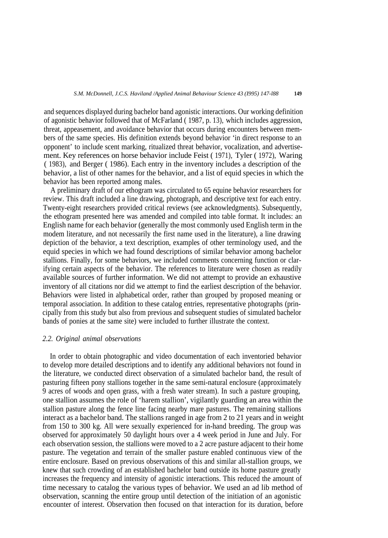and sequences displayed during bachelor band agonistic interactions. Our working definition of agonistic behavior followed that of McFarland ( 1987, p. 13), which includes aggression, threat, appeasement, and avoidance behavior that occurs during encounters between members of the same species. His definition extends beyond behavior 'in direct response to an opponent' to include scent marking, ritualized threat behavior, vocalization, and advertisement. Key references on horse behavior include Feist ( 1971), Tyler ( 1972), Waring ( 1983), and Berger ( 1986). Each entry in the inventory includes a description of the behavior, a list of other names for the behavior, and a list of equid species in which the behavior has been reported among males.

A preliminary draft of our ethogram was circulated to 65 equine behavior researchers for review. This draft included a line drawing, photograph, and descriptive text for each entry. Twenty-eight researchers provided critical reviews (see acknowledgments). Subsequently, the ethogram presented here was amended and compiled into table format. It includes: an English name for each behavior (generally the most commonly used English term in the modem literature, and not necessarily the first name used in the literature), a line drawing depiction of the behavior, a text description, examples of other terminology used, and the equid species in which we had found descriptions of similar behavior among bachelor stallions. Finally, for some behaviors, we included comments concerning function or clarifying certain aspects of the behavior. The references to literature were chosen as readily available sources of further information. We did not attempt to provide an exhaustive inventory of all citations nor did we attempt to find the earliest description of the behavior. Behaviors were listed in alphabetical order, rather than grouped by proposed meaning or temporal association. In addition to these catalog entries, representative photographs (principally from this study but also from previous and subsequent studies of simulated bachelor bands of ponies at the same site) were included to further illustrate the context.

# *2.2. Original animal observations*

In order to obtain photographic and video documentation of each inventoried behavior to develop more detailed descriptions and to identify any additional behaviors not found in the literature, we conducted direct observation of a simulated bachelor band, the result of pasturing fifteen pony stallions together in the same semi-natural enclosure (approximately 9 acres of woods and open grass, with a fresh water stream). In such a pasture grouping, one stallion assumes the role of 'harem stallion', vigilantly guarding an area within the stallion pasture along the fence line facing nearby mare pastures. The remaining stallions interact as a bachelor band. The stallions ranged in age from 2 to 21 years and in weight from 150 to 300 kg. All were sexually experienced for in-hand breeding. The group was observed for approximately 50 daylight hours over a 4 week period in June and July. For each observation session, the stallions were moved to a 2 acre pasture adjacent to their home pasture. The vegetation and terrain of the smaller pasture enabled continuous view of the entire enclosure. Based on previous observations of this and similar all-stallion groups, we knew that such crowding of an established bachelor band outside its home pasture greatly increases the frequency and intensity of agonistic interactions. This reduced the amount of time necessary to catalog the various types of behavior. We used an ad lib method of observation, scanning the entire group until detection of the initiation of an agonistic encounter of interest. Observation then focused on that interaction for its duration, before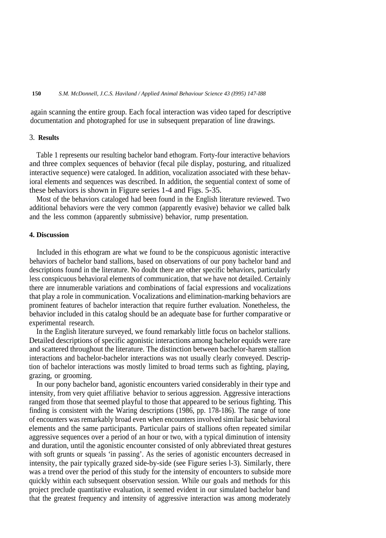again scanning the entire group. Each focal interaction was video taped for descriptive documentation and photographed for use in subsequent preparation of line drawings.

# 3. **Results**

Table 1 represents our resulting bachelor band ethogram. Forty-four interactive behaviors and three complex sequences of behavior (fecal pile display, posturing, and ritualized interactive sequence) were cataloged. In addition, vocalization associated with these behavioral elements and sequences was described. In addition, the sequential context of some of these behaviors is shown in Figure series 1-4 and Figs. 5-35.

Most of the behaviors cataloged had been found in the English literature reviewed. Two additional behaviors were the very common (apparently evasive) behavior we called balk and the less common (apparently submissive) behavior, rump presentation.

# **4. Discussion**

Included in this ethogram are what we found to be the conspicuous agonistic interactive behaviors of bachelor band stallions, based on observations of our pony bachelor band and descriptions found in the literature. No doubt there are other specific behaviors, particularly less conspicuous behavioral elements of communication, that we have not detailed. Certainly there are innumerable variations and combinations of facial expressions and vocalizations that play a role in communication. Vocalizations and elimination-marking behaviors are prominent features of bachelor interaction that require further evaluation. Nonetheless, the behavior included in this catalog should be an adequate base for further comparative or experimental research.

In the English literature surveyed, we found remarkably little focus on bachelor stallions. Detailed descriptions of specific agonistic interactions among bachelor equids were rare and scattered throughout the literature. The distinction between bachelor-harem stallion interactions and bachelor-bachelor interactions was not usually clearly conveyed. Description of bachelor interactions was mostly limited to broad terms such as fighting, playing, grazing, or grooming.

In our pony bachelor band, agonistic encounters varied considerably in their type and intensity, from very quiet affiliative behavior to serious aggression. Aggressive interactions ranged from those that seemed playful to those that appeared to be serious fighting. This finding is consistent with the Waring descriptions (1986, pp. 178-186). The range of tone of encounters was remarkably broad even when encounters involved similar basic behavioral elements and the same participants. Particular pairs of stallions often repeated similar aggressive sequences over a period of an hour or two, with a typical diminution of intensity and duration, until the agonistic encounter consisted of only abbreviated threat gestures with soft grunts or squeals 'in passing'. As the series of agonistic encounters decreased in intensity, the pair typically grazed side-by-side (see Figure series l-3). Similarly, there was a trend over the period of this study for the intensity of encounters to subside more quickly within each subsequent observation session. While our goals and methods for this project preclude quantitative evaluation, it seemed evident in our simulated bachelor band that the greatest frequency and intensity of aggressive interaction was among moderately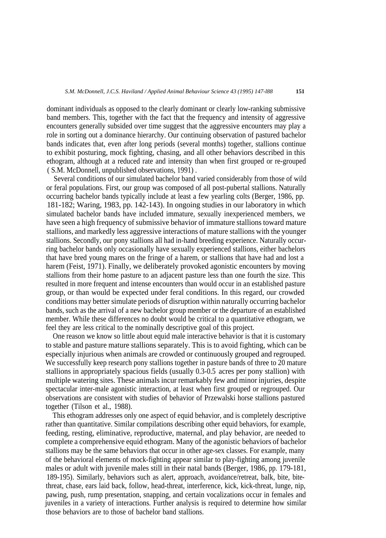dominant individuals as opposed to the clearly dominant or clearly low-ranking submissive band members. This, together with the fact that the frequency and intensity of aggressive encounters generally subsided over time suggest that the aggressive encounters may play a role in sorting out a dominance hierarchy. Our continuing observation of pastured bachelor bands indicates that, even after long periods (several months) together, stallions continue to exhibit posturing, mock fighting, chasing, and all other behaviors described in this ethogram, although at a reduced rate and intensity than when first grouped or re-grouped ( S.M. McDonnell, unpublished observations, 1991) .

Several conditions of our simulated bachelor band varied considerably from those of wild or feral populations. First, our group was composed of all post-pubertal stallions. Naturally occurring bachelor bands typically include at least a few yearling colts (Berger, 1986, pp. 181-182; Waring, 1983, pp. 142-143). In ongoing studies in our laboratory in which simulated bachelor bands have included immature, sexually inexperienced members, we have seen a high frequency of submissive behavior of immature stallions toward mature stallions, and markedly less aggressive interactions of mature stallions with the younger stallions. Secondly, our pony stallions all had in-hand breeding experience. Naturally occurring bachelor bands only occasionally have sexually experienced stallions, either bachelors that have bred young mares on the fringe of a harem, or stallions that have had and lost a harem (Feist, 1971). Finally, we deliberately provoked agonistic encounters by moving stallions from their home pasture to an adjacent pasture less than one fourth the size. This resulted in more frequent and intense encounters than would occur in an established pasture group, or than would be expected under feral conditions. In this regard, our crowded conditions may better simulate periods of disruption within naturally occurring bachelor bands, such as the arrival of a new bachelor group member or the departure of an established member. While these differences no doubt would be critical to a quantitative ethogram, we feel they are less critical to the nominally descriptive goal of this project.

One reason we know so little about equid male interactive behavior is that it is customary to stable and pasture mature stallions separately. This is to avoid fighting, which can be especially injurious when animals are crowded or continuously grouped and regrouped. We successfully keep research pony stallions together in pasture bands of three to 20 mature stallions in appropriately spacious fields (usually 0.3-0.5 acres per pony stallion) with multiple watering sites. These animals incur remarkably few and minor injuries, despite spectacular inter-male agonistic interaction, at least when first grouped or regrouped. Our observations are consistent with studies of behavior of Przewalski horse stallions pastured together (Tilson et al., 1988).

This ethogram addresses only one aspect of equid behavior, and is completely descriptive rather than quantitative. Similar compilations describing other equid behaviors, for example, feeding, resting, eliminative, reproductive, maternal, and play behavior, are needed to complete a comprehensive equid ethogram. Many of the agonistic behaviors of bachelor stallions may be the same behaviors that occur in other age-sex classes. For example, many of the behavioral elements of mock-fighting appear similar to play-fighting among juvenile males or adult with juvenile males still in their natal bands (Berger, 1986, pp. 179-181, 189-195). Similarly, behaviors such as alert, approach, avoidance/retreat, balk, bite, bitethreat, chase, ears laid back, follow, head-threat, interference, kick, kick-threat, lunge, nip, pawing, push, rump presentation, snapping, and certain vocalizations occur in females and juveniles in a variety of interactions. Further analysis is required to determine how similar those behaviors are to those of bachelor band stallions.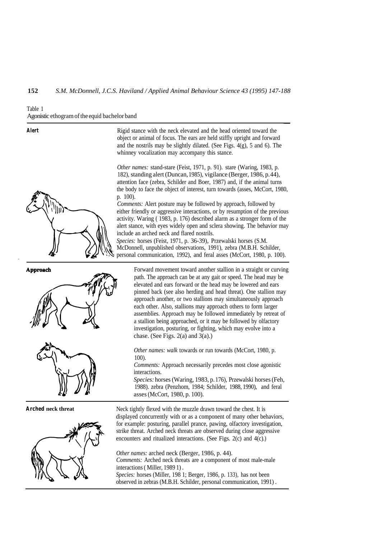# Table 1 Agonistic ethogram of the equid bachelor band







**Alert** Rigid stance with the neck elevated and the head oriented toward the object or animal of focus. The ears are held stiffly upright and forward and the nostrils may be slightly dilated. (See Figs. 4(g), 5 and 6). The whinney vocalization may accompany this stance.

> *Other names:* stand-stare (Feist, 1971, p. 91). stare (Waring, 1983, p. 182), standing alert (Duncan, 1985), vigilance (Berger, 1986, p. 44), attention face (zebra, Schilder and Boer, 1987) and, if the animal turns the body to face the object of interest, turn towards (asses, McCort, 1980, p. 100).

> *Comments:* Alert posture may be followed by approach, followed by either friendly or aggressive interactions, or by resumption of the previous activity. Waring ( 1983, p. 176) described alarm as a stronger form of the alert stance, with eyes widely open and sclera showing. The behavior may include an arched neck and flared nostrils.

*Species:* horses (Feist, 1971, p. 36-39), Przewalski horses (S.M. McDonnell, unpublished observations, 1991), zebra (M.B.H. Schilder, personal communication, 1992), and feral asses (McCort, 1980, p. 100).

> Forward movement toward another stallion in a straight or curving path. The approach can be at any gait or speed. The head may be elevated and ears forward or the head may be lowered and ears pinned back (see also herding and head threat). One stallion may approach another, or two stallions may simultaneously approach each other. Also, stallions may approach others to form larger assemblies. Approach may be followed immediately by retreat of a stallion being approached, or it may be followed by olfactory investigation, posturing, or fighting, which may evolve into a chase. (See Figs. 2(a) and  $3(a)$ .)

*Other names: walk* towards or run towards (McCort, 1980, p. 100).

*Comments:* Approach necessarily precedes most close agonistic interactions.

*Species:* horses (Waring, 1983, p. 176), Przewalski horses (Feh, 1988). zebra (Penzhom, 1984; Schilder, 1988, 1990), and feral asses (McCort, 1980, p. 100).

**Arched neck threat** Neck tightly flexed with the muzzle drawn toward the chest. It is displayed concurrently with or as a component of many other behaviors, for example: posturing, parallel prance, pawing, olfactory investigation, strike threat. Arched neck threats are observed during close aggressive encounters and ritualized interactions. (See Figs. 2(c) and 4(c).)

> *Other names:* arched neck (Berger, 1986, p. 44). *Comments:* Arched neck threats are a component of most male-male interactions ( Miller, 1989 1) . *Species:* horses (Miller, 198 1; Berger, 1986, p. 133), has not been observed in zebras (M.B.H. Schilder, personal communication, 1991) .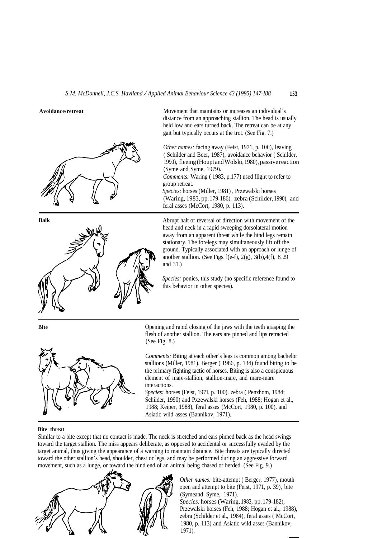



**Avoidance/retreat** Movement that maintains or increases an individual's distance from an approaching stallion. The head is usually held low and ears turned back. The retreat can be at any gait but typically occurs at the trot. (See Fig. 7.)

> *Other names:* facing away (Feist, 1971, p. 100), leaving ( Schilder and Boer, 1987), avoidance behavior ( Schilder, 1990), fleeing (Houpt and Wolski,1980), passive reaction (Syme and Syme, 1979).

*Comments:* Waring ( 1983, p.177) used flight to refer to group retreat.

*Species:* horses (Miller, 1981) , Przewalski horses (Waring, 1983, pp. 179-186). zebra (Schilder, 1990), and feral asses (McCort, 1980, p. 113).

**Balk Balk Balk Balk Balk Balk Balk Balk Balk Balk Balk Balk Balk Balk Balk Balk Balk Balk Balk Balk Balk Balk Balk Balk Balk Balk Balk Balk Balk Balk Balk Balk** head and neck in a rapid sweeping dorsolateral motion away from an apparent threat while the hind legs remain stationary. The forelegs may simultaneously lift off the ground. Typically associated with an approach or lunge of another stallion. (See Figs. l(e-f), 2(g), 3(b),4(f), 8, 29 and 31.)

> *Species:* ponies, this study (no specific reference found to this behavior in other species).



**Bite Bite** Opening and rapid closing of the jaws with the teeth grasping the flesh of another stallion. The ears are pinned and lips retracted (See Fig. 8.)

> *Comments:* Biting at each other's legs is common among bachelor stallions (Miller, 1981). Berger ( 1986, p. 134) found biting to be the primary fighting tactic of horses. Biting is also a conspicuous element of mare-stallion, stallion-mare, and mare-mare interactions.

*Species:* horses (Feist, 1971, p. 100). zebra ( Penzhom, 1984; Schilder, 1990) and Pxzewalski horses (Feh, 1988; Hogan et al., 1988; Keiper, 1988), feral asses (McCort, 1980, p. 100). and Asiatic wild asses (Bannikov, 1971).

#### **Bite threat**

Similar to a bite except that no contact is made. The neck is stretched and ears pinned back as the head swings toward the target stallion. The miss appears deliberate, as opposed to accidental or successfully evaded by the target animal, thus giving the appearance of a warning to maintain distance. Bite threats are typically directed toward the other stallion's head, shoulder, chest or legs, and may be performed during an aggressive forward movement, such as a lunge, or toward the hind end of an animal being chased or herded. (See Fig. 9.)



*Other names:* bite-attempt ( Berger, 1977), mouth open and attempt to bite (Feist, 1971, p. 39), bite (Symeand Syme, 1971). *Species:* horses (Waring, 1983, pp. 179-182), Przewalski horses (Feh, 1988; Hogan et al., 1988), zebra (Schilder et al., 1984), feral asses ( McCort, 1980, p. 113) and Asiatic wild asses (Bannikov, 1971).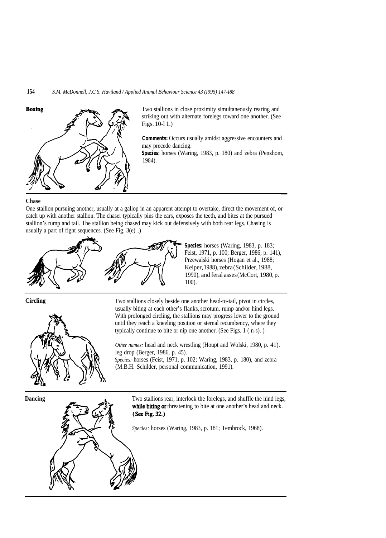#### **154** *S.M. McDonnell, J.C.S. Haviland / Applied Animal Behaviour Science 43 (I995) 147-I88*



Two stallions in close proximity simultaneously rearing and striking out with alternate forelegs toward one another. (See Figs. 10-l 1.)

**Comments:** Occurs usually amidst aggressive encounters and may precede dancing.

*Species:* horses (Waring, 1983, p. 180) and zebra (Penzhom, 1984).

# **Chase**

One stallion pursuing another, usually at a gallop in an apparent attempt to overtake, direct the movement of, or catch up with another stallion. The chaser typically pins the ears, exposes the teeth, and bites at the pursued stallion's rump and tail. The stallion being chased may kick out defensively with both rear legs. Chasing is usually a part of fight sequences. (See Fig. 3(e) .)



*Species:* horses (Waring, 1983, p. 183; Feist, 1971, p. 100; Berger, 1986, p. 141), Przewalski horses (Hogan et al., 1988; Keiper, 1988), zebra (Schilder, 1988, 1990), and feral asses (McCort, 1980, p. 100).



**Circling** Two stallions closely beside one another head-to-tail, pivot in circles, usually biting at each other's flanks, scrotum, rump and/or hind legs. With prolonged circling, the stallions may progress lower to the ground until they reach a kneeling position or sternal recumbency, where they typically continue to bite or nip one another. (See Figs. 1 ( n-s). )

> *Other names:* head and neck wrestling (Houpt and Wolski, 1980, p. 41). leg drop (Berger, 1986, p. 45).

*Species:* horses (Feist, 1971, p. 102; Waring, 1983, p. 180), and zebra (M.B.H. Schilder, personal communication, 1991).

**Dancing** Two stallions rear, interlock the forelegs, and shuffle the hind legs, while biting or threatening to bite at one another's head and neck. (See Fig. 32.) *Species:* horses (Waring, 1983, p. 181; Tembrock, 1968).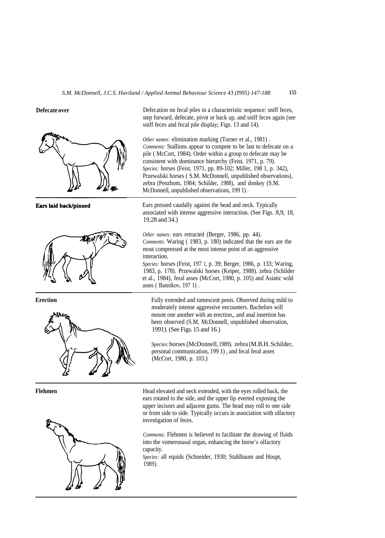

Ears laid back/pinned







**Defecate over** Defecation on fecal piles in a characteristic sequence: sniff feces, step forward, defecate, pivot or back up, and sniff feces again (see sniff feces and fecal pile display; Figs. 13 and 14).

> *Other names:* elimination marking (Turner et al., 1981) . *Comments:* Stallions appear to compete to be last to defecate on a pile ( McCort, 1984). Order within a group to defecate may be consistent with dominance hierarchy (Feist, 1971, p. 79). *Species:* horses (Feist, 1971, pp. 89-102; Miller, 198 1, p. 342), Przewalski horses ( S.M. McDonnell, unpublished observations), zebra (Penzhom, 1984; Schilder, 1988), and donkey (S.M. McDonnell, unpublished observations, 199 1) .

> Ears pressed caudally against the head and neck. Typically associated with intense aggressive interaction. (See Figs. 8,9, 18, 19,28 and 34.)

*Other names:* ears retracted (Berger, 1986, pp. 44). *Comments:* Waring ( 1983, p. 180) indicated that the ears are the most compressed at the most intense point of an aggressive interaction.

*Species:* horses (Feist, 197 1, p. 39; Berger, 1986, p. 133; Waring, 1983, p. 178). Przewalski horses (Keiper, 1988). zebra (Schilder et al., 1984), feral asses (McCort, 1980, p. 105) and Asiatic wild asses ( Bannikov, 197 1) .

**Erection** Fully extended and tumescent penis. Observed during mild to moderately intense aggressive encounters. Bachelors will mount one another with an erection,, and anal insertion has been observed (S.M. McDonnell, unpublished observation, 1991). (See Figs. 15 and 16.)

> *Species:* horses (McDonnell, 1989). zebra (M.B.H. Schilder, personal communication, 199 1) , and fecal feral asses (McCort, 1980, p. 103.)

**Flehmen** Head elevated and neck extended, with the eyes rolled back, the ears rotated to the side, and the upper lip everted exposing the upper incisors and adjacent gums. The head may roll to one side or from side to side. Typically occurs in association with olfactory investigation of feces.

> *Comments:* Flehmen is believed to facilitate the drawing of fluids into the vomeronasal organ, enhancing the horse's olfactory capacity.

*Species:* all equids (Schneider, 1930; Stahlbaum and Houpt, 1989).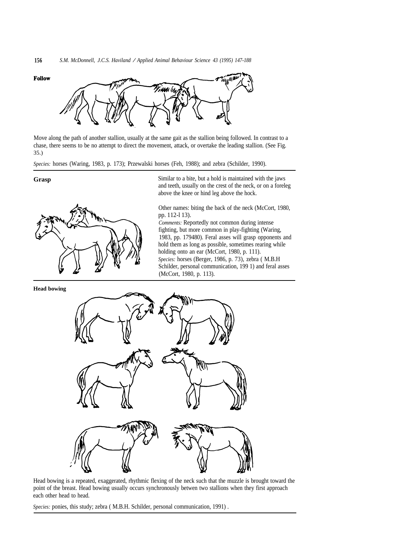

Move along the path of another stallion, usually at the same gait as the stallion being followed. In contrast to a chase, there seems to be no attempt to direct the movement, attack, or overtake the leading stallion. (See Fig. 35.)

*Species:* horses (Waring, 1983, p. 173); Przewalski horses (Feh, 1988); and zebra (Schilder, 1990).



**Head bowing**

**Grasp** Similar to a bite, but a hold is maintained with the jaws and teeth, usually on the crest of the neck, or on a foreleg above the knee or hind leg above the hock.

> Other names: biting the back of the neck (McCort, 1980, pp. 112-l 13).

*Comments:* Reportedly not common during intense fighting, but more common in play-fighting (Waring, 1983, pp. 179480). Feral asses will grasp opponents and hold them as long as possible, sometimes rearing while holding onto an ear (McCort, 1980, p. 111). *Species:* horses (Berger, 1986, p. 73), zebra ( M.B.H Schilder, personal communication, 199 1) and feral asses (McCort, 1980, p. 113).



Head bowing is a repeated, exaggerated, rhythmic flexing of the neck such that the muzzle is brought toward the point of the breast. Head bowing usually occurs synchronously betwen two stallions when they first approach each other head to head.

*Species:* ponies, this study; zebra ( M.B.H. Schilder, personal communication, 1991) .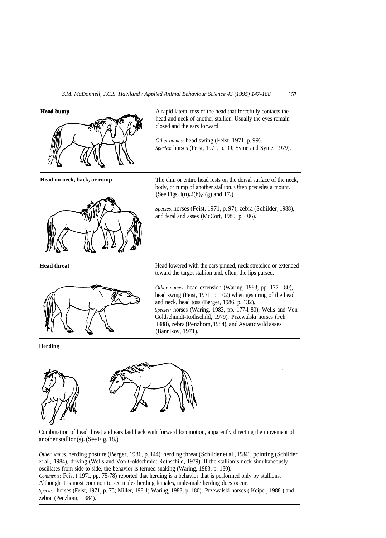





**Herding**

A rapid lateral toss of the head that forcefully contacts the head and neck of another stallion. Usually the eyes remain closed and the ears forward.

*Other names:* head swing (Feist, 1971, p. 99). *Species:* horses (Feist, 1971, p. 99; Syme and Syme, 1979).

**Head on neck, back, or rump** The chin or entire head rests on the dorsal surface of the neck, body, or rump of another stallion. Often precedes a mount. (See Figs.  $l(u)$ ,  $2(h)$ ,  $4(g)$  and 17.)

> *Species:* horses (Feist, 1971, p. 97), zebra (Schilder, 1988), and feral and asses (McCort, 1980, p. 106).

**Head threat** Head lowered with the ears pinned, neck stretched or extended toward the target stallion and, often, the lips pursed.

> *Other names:* head extension (Waring, 1983, pp. 177-l 80), head swing (Feist, 1971, p. 102) when gesturing of the head and neck, head toss (Berger, 1986, p. 132). *Species:* horses (Waring, 1983, pp. 177-l 80); Wells and Von Goldschmidt-Rothschild, 1979), Przewalski horses (Feh, 1988), zebra (Penzhom, 1984), and Asiatic wild asses (Bannikov, 1971).



Combination of head threat and ears laid back with forward locomotion, apparently directing the movement of another stallion(s). (See Fig. 18.)

*Other names:* herding posture (Berger, 1986, p. 144), herding threat (Schilder et al., 1984), pointing (Schilder et al., 1984), driving (Wells and Von Goldschmidt-Rothschild, 1979). If the stallion's neck simultaneously oscillates from side to side, the behavior is termed snaking (Waring, 1983, p. 180). *Comments:* Feist ( 1971, pp. 75-78) reported that herding is a behavior that is performed only by stallions. Although it is most common to see males herding females, male-male herding does occur. *Species:* horses (Feist, 1971, p. 75; Miller, 198 1; Waring, 1983, p. 180), Przewalski horses ( Keiper, 1988 ) and zebra (Penzhom, 1984).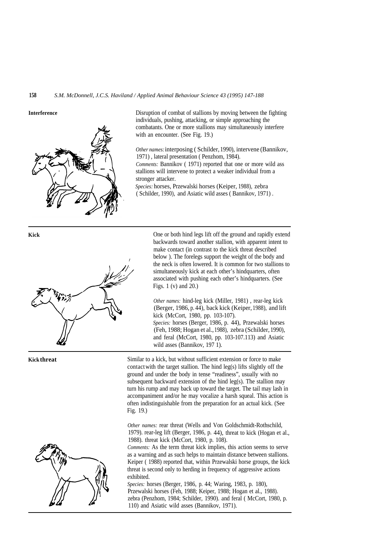#### **158** *S.M. McDonnell, J.C.S. Haviland / Applied Animal Behaviour Science 43 (1995) 147-188*



**Interference** Disruption of combat of stallions by moving between the fighting individuals, pushing, attacking, or simple approaching the combatants. One or more stallions may simultaneously interfere with an encounter. (See Fig. 19.)

> *Other names:* interposing ( Schilder, 1990), intervene (Bannikov, 1971) , lateral presentation ( Penzhom, 1984). *Comments:* Bannikov ( 1971) reported that one or more wild ass stallions will intervene to protect a weaker individual from a stronger attacker. *Species:* horses, Przewalski horses (Keiper, 1988), zebra

( Schilder, 1990), and Asiatic wild asses ( Bannikov, 1971) .





**Kick** One or both hind legs lift off the ground and rapidly extend backwards toward another stallion, with apparent intent to make contact (in contrast to the kick threat described below ). The forelegs support the weight of the body and the neck is often lowered. It is common for two stallions to simultaneously kick at each other's hindquarters, often associated with pushing each other's hindquarters. (See Figs. 1 (v) and 20.)

> *Other names:* hind-leg kick (Miller, 1981) , rear-leg kick (Berger, 1986, p. 44), back kick (Keiper, 1988), and lift kick (McCort, 1980, pp. 103-107). *Species:* horses (Berger, 1986, p. 44), Przewalski horses (Feh, 1988; Hogan et al., 1988), zebra (Schilder, 1990),

and feral (McCort, 1980, pp. 103-107.113) and Asiatic wild asses (Bannikov, 197 1).

**Kick threat** Similar to a kick, but without sufficient extension or force to make contact with the target stallion. The hind leg(s) lifts slightly off the ground and under the body in tense "readiness", usually with no subsequent backward extension of the hind leg(s). The stallion may turn his rump and may back up toward the target. The tail may lash in accompaniment and/or he may vocalize a harsh squeal. This action is often indistinguishable from the preparation for an actual kick. (See Fig. 19.)

> *Other names:* rear threat (Wells and Von Goldschmidt-Rothschild, 1979). rear-leg lift (Berger, 1986, p. 44), threat to kick (Hogan et al., 1988). threat kick (McCort, 1980, p. 108).

> *Comments:* As the term threat kick implies, this action seems to serve as a warning and as such helps to maintain distance between stallions. Keiper ( 1988) reported that, within Przewalski horse groups, the kick threat is second only to herding in frequency of aggressive actions exhibited.

*Species:* horses (Berger, 1986, p. 44; Waring, 1983, p. 180), Przewalski horses (Feh, 1988; Keiper, 1988; Hogan et al., 1988). zebra (Penzhom, 1984; Schilder, 1990). and feral ( McCort, 1980, p. 110) and Asiatic wild asses (Bannikov, 1971).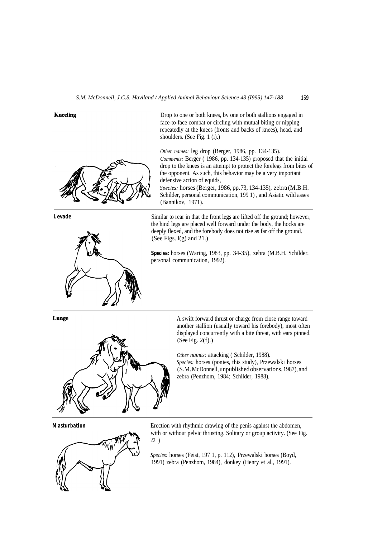### **Kneeling**





Drop to one or both knees, by one or both stallions engaged in face-to-face combat or circling with mutual biting or nipping repeatedly at the knees (fronts and backs of knees), head, and shoulders. (See Fig. 1 (i).)

*Other names:* leg drop (Berger, 1986, pp. 134-135). *Comments:* Berger ( 1986, pp. 134-135) proposed that the initial drop to the knees is an attempt to protect the forelegs from bites of the opponent. As such, this behavior may be a very important defensive action of equids,

*Species:* horses (Berger, 1986, pp.73, 134-135), zebra (M.B.H. Schilder, personal communication, 199 1) , and Asiatic wild asses (Bannikov, 1971).

**Levade** Similar to rear in that the front legs are lifted off the ground; however, the hind legs are placed well forward under the body, the hocks are deeply flexed, and the forebody does not rise as far off the ground. (See Figs. l(g) and 21.)

> *Species:* horses (Waring, 1983, pp. 34-35), zebra (M.B.H. Schilder, personal communication, 1992).

Lunge



A swift forward thrust or charge from close range toward another stallion (usually toward his forebody), most often displayed concurrently with a bite threat, with ears pinned. (See Fig. 2(f).)

*Other names:* attacking ( Schilder, 1988). *Species:* horses (ponies, this study), Przewalski horses (S.M. McDonnell, unpublished observations,1987), and zebra (Penzhom, 1984; Schilder, 1988).



**Masturbation** Erection with rhythmic drawing of the penis against the abdomen, with or without pelvic thrusting. Solitary or group activity. (See Fig. 22. )

> *Species:* horses (Feist, 197 1, p. 112), Przewalski horses (Boyd, 1991) zebra (Penzhom, 1984), donkey (Henry et al., 1991).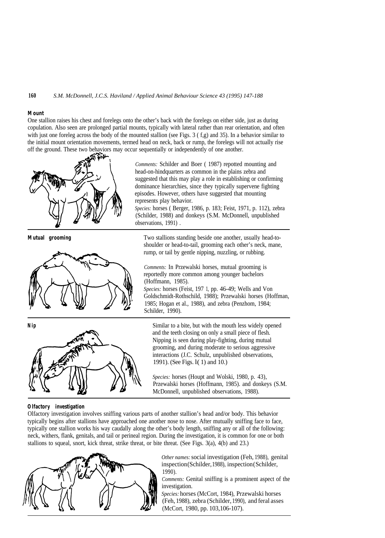#### **Mount**

One stallion raises his chest and forelegs onto the other's back with the forelegs on either side, just as during copulation. Also seen are prolonged partial mounts, typically with lateral rather than rear orientation, and often with just one foreleg across the body of the mounted stallion (see Figs. 3 (f,g) and 35). In a behavior similar to the initial mount orientation movements, termed head on neck, back or rump, the forelegs will not actually rise off the ground. These two behaviors may occur sequentially or independently of one another.







*Comments:* Schilder and Boer ( 1987) repotted mounting and head-on-hindquarters as common in the plains zebra and suggested that this may play a role in establishing or confirming dominance hierarchies, since they typically supervene fighting episodes. However, others have suggested that mounting represents play behavior.

*Species:* horses ( Berger, 1986, p. 183; Feist, 1971, p. 112), zebra (Schilder, 1988) and donkeys (S.M. McDonnell, unpublished observations, 1991) .

**Mutual grooming** Two stallions standing beside one another, usually head-toshoulder or head-to-tail, grooming each other's neck, mane, rump, or tail by gentle nipping, nuzzling, or rubbing.

> *Comments:* In Przewalski horses, mutual grooming is reportedly more common among younger bachelors (Hoffmann, 1985).

*Species:* horses (Feist, 197 1, pp. 46-49; Wells and Von Goldschmidt-Rothschild, 1988); Przewalski horses (Hoffman, 1985; Hogan et al., 1988), and zebra (Penzhom, 1984; Schilder, 1990).

and the teeth closing on only a small piece of flesh. Nipping is seen during play-fighting, during mutual grooming, and during moderate to serious aggressive interactions (J.C. Schulz, unpublished observations, 1991). (See Figs. l( 1) and 10.)

*Species:* horses (Houpt and Wolski, 1980, p. 43), Przewalski horses (Hoffmann, 1985). and donkeys (S.M. McDonnell, unpublished observations, 1988).

### **Olfactory investigation**

Olfactory investigation involves sniffing various parts of another stallion's head and/or body. This behavior typically begins after stallions have approached one another nose to nose. After mutually sniffing face to face, typically one stallion works his way caudally along the other's body length, sniffing any or all of the following: neck, withers, flank, genitals, and tail or perineal region. During the investigation, it is common for one or both stallions to squeal, snort, kick threat, strike threat, or bite threat. (See Figs. 3(a), 4(b) and 23.)



*Other names:* social investigation (Feh, 1988), genital inspection (Schilder,1988), inspection ( Schilder, 1990).

*Comments:* Genital sniffing is a prominent aspect of the investigation.

*Species:* horses (McCort, 1984), Przewalski horses (Feh, 1988), zebra (Schilder, 1990), and feral asses (McCort, 1980, pp. 103,106-107).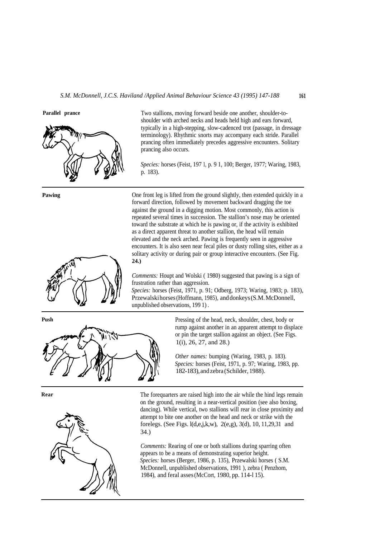prancing also occurs.

p. 183).

**24.)**

**Parallel prance** Two stallions, moving forward beside one another, shoulder-to-



**Pawing** One front leg is lifted from the ground slightly, then extended quickly in a



*Comments:* Houpt and Wolski ( 1980) suggested that pawing is a sign of frustration rather than aggression.

shoulder with arched necks and heads held high and ears forward, typically in a high-stepping, slow-cadenced trot (passage, in dressage terminology). Rhythmic snorts may accompany each stride. Parallel prancing often immediately precedes aggressive encounters. Solitary

*Species:* horses (Feist, 197 1, p. 9 1, 100; Berger, 1977; Waring, 1983,

forward direction, followed by movement backward dragging the toe against the ground in a digging motion. Most commonly, this action is repeated several times in succession. The stallion's nose may be oriented toward the substrate at which he is pawing or, if the activity is exhibited as a direct apparent threat to another stallion, the head will remain elevated and the neck arched. Pawing is frequently seen in aggressive encounters. It is also seen near fecal piles or dusty rolling sites, either as a solitary activity or during pair or group interactive encounters. (See Fig.

*Species:* horses (Feist, 1971, p. 91; Odberg, 1973; Waring, 1983; p. 183), Przewalski horses(Hoffmann, 1985), and donkeys (S.M. McDonnell, unpublished observations, 199 1) .



rump against another in an apparent attempt to displace or pin the target stallion against an object. (See Figs. 1(i), 26, 27, and 28.)

*Other names:* bumping (Waring, 1983, p. 183). *Species:* horses (Feist, 1971, p. 97; Waring, 1983, pp. 182-183), and zebra (Schilder, 1988).

**Rear** The forequarters are raised high into the air while the hind legs remain on the ground, resulting in a near-vertical position (see also boxing, dancing). While vertical, two stallions will rear in close proximity and attempt to bite one another on the head and neck or strike with the forelegs. (See Figs. l(d,e,j,k,w), 2(e,g), 3(d), 10, 11,29,31 and 34.)

> *Comments:* Rearing of one or both stallions during sparring often appears to be a means of demonstrating superior height. *Species:* horses (Berger, 1986, p. 135), Przewalski horses ( S.M. McDonnell, unpublished observations, 1991 ), zebra ( Penzhom, 1984), and feral asses (McCort, 1980, pp. 114-l 15).

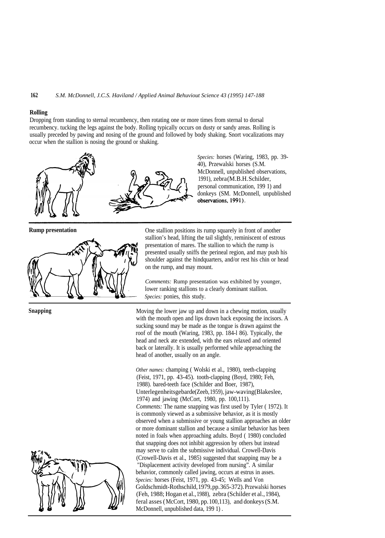#### **162** *S.M. McDonnell, J.C.S. Haviland / Applied Animal Behuviout Science 43 (1995) 147-188*

#### **Rolling**

Dropping from standing to sternal recumbency, then rotating one or more times from sternal to dorsal recumbency. tucking the legs against the body. Rolling typically occurs on dusty or sandy areas. Rolling is usually preceded by pawing and nosing of the ground and followed by body shaking. Snort vocalizations may occur when the stallion is nosing the ground or shaking.



*Species:* horses (Waring, 1983, pp. 39- 40), Przewalski horses (S.M. McDonnell, unpublished observations, 1991), zebra (M.B.H. Schilder, personal communication, 199 1) and donkeys (SM. McDonnell, unpublished observations, 1991).





**Rump presentation** One stallion positions its rump squarely in front of another stallion's head, lifting the tail slightly, reminiscent of estrous presentation of mares. The stallion to which the rump is presented usually sniffs the perineal region, and may push his shoulder against the hindquarters, and/or rest his chin or head on the rump, and may mount.

> <sup>1</sup> *Comments:* Rump presentation was exhibited by younger, lower ranking stallions to a clearly dominant stallion. *Species:* ponies, this study.

**Snapping** Moving the lower jaw up and down in a chewing motion, usually with the mouth open and lips drawn back exposing the incisors. A sucking sound may be made as the tongue is drawn against the roof of the mouth (Waring, 1983, pp. 184-l 86). Typically, the head and neck ate extended, with the ears relaxed and oriented back or laterally. It is usually performed while approaching the head of another, usually on an angle.

> *Other names:* champing ( Wolski et al., 1980), teeth-clapping (Feist, 1971, pp. 43-45). tooth-clapping (Boyd, 1980; Feh, 1988). bared-teeth face (Schilder and Boer, 1987), Unterlegenheitsgebarde (Zeeb,1959), jaw-waving (Blakeslee, 1974) and jawing (McCort, 1980, pp. 100,111). *Comments:* The name snapping was first used by Tyler ( 1972). It is commonly viewed as a submissive behavior, as it is mostly observed when a submissive or young stallion approaches an older or more dominant stallion and because a similar behavior has been noted in foals when approaching adults. Boyd ( 1980) concluded that snapping does not inhibit aggression by others but instead may serve to calm the submissive individual. Crowell-Davis (Crowell-Davis et al., 1985) suggested that snapping may be a "Displacement activity developed from nursing". A similar behavior, commonly called jawing, occurs at estrus in asses. *Species:* horses (Feist, 1971, pp. 43-45; Wells and Von Goldschmidt-Rothschild, 1979, pp.365-372).Przewalski horses (Feh, 1988; Hogan et al., 1988), zebra (Schilder et al., 1984), feral asses ( McCort, 1980, pp. 100,113), and donkeys (S.M. McDonnell, unpublished data, 199 1) .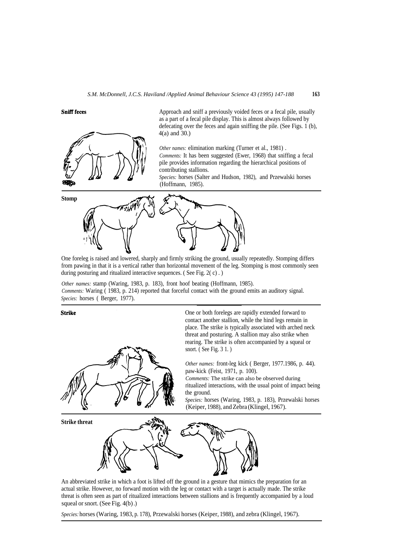



Approach and sniff a previously voided feces or a fecal pile, usually as a part of a fecal pile display. This is almost always followed by defecating over the feces and again sniffing the pile. (See Figs. 1 (b), 4(a) and 30.)

*Other names:* elimination marking (Turner et al., 1981) . *Comments:* It has been suggested (Ewer, 1968) that sniffing a fecal pile provides information regarding the hierarchical positions of contributing stallions.

*Species:* horses (Salter and Hudson, 1982), and Przewalski horses (Hoffmann, 1985).



One foreleg is raised and lowered, sharply and firmly striking the ground, usually repeatedly. Stomping differs from pawing in that it is a vertical rather than horizontal movement of the leg. Stomping is most commonly seen during posturing and ritualized interactive sequences. (See Fig. 2(c).)

*Other names:* stamp (Waring, 1983, p. 183), front hoof beating (Hoffmann, 1985). *Comments:* Waring ( 1983, p. 214) reported that forceful contact with the ground emits an auditory signal. *Species:* horses ( Berger, 1977).

**Strike** 

One or both forelegs are rapidly extended forward to contact another stallion, while the hind legs remain in place. The strike is typically associated with arched neck threat and posturing. A stallion may also strike when rearing. The strike is often accompanied by a squeal or snort. ( See Fig. 3 1. )

*Other names:* front-leg kick ( Berger, 1977.1986, p. 44). paw-kick (Feist, 1971, p. 100).

*Comments:* The strike can also be observed during ritualized interactions, with the usual point of impact being the ground.

*Species:* horses (Waring, 1983, p. 183), Przewalski horses (Keiper, 1988), and Zebra (Klingel, 1967).



An abbreviated strike in which a foot is lifted off the ground in a gesture that mimics the preparation for an actual strike. However, no forward motion with the leg or contact with a target is actually made. The strike threat is often seen as part of ritualized interactions between stallions and is frequently accompanied by a loud squeal or snort. (See Fig. 4(b) .)

*Species:* horses (Waring, 1983, p. 178), Przewalski horses (Keiper, 1988), and zebra (Klingel, 1967).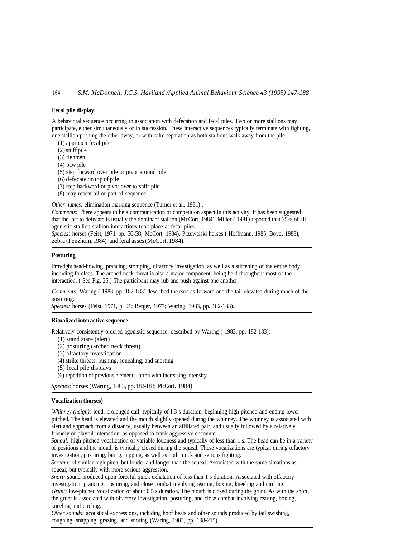### **Fecal pile display**

A behavioral sequence occurring in association with defecation and fecal piles. Two or more stallions may participate, either simultaneously or in succession. These interactive sequences typically terminate with fighting, one stallion pushing the other away, or with calm separation as both stallions walk away from the pile.

(1) approach fecal pile

(2) sniff pile

(3) flehmen

(4) paw pile

(5) step forward over pile or pivot around pile

(6) defecate on top of pile

(7) step backward or pivot over to sniff pile

(8) may repeat all or part of sequence

*Other names:* elimination marking sequence (Turner et al., 1981).

*Comments:* There appears to be a communication or competition aspect in this activity. It has been suggested that the last to defecate is usually the dominant stallion (McCort, 1984). Miller ( 1981) reported that 25% of all agonistic stallion-stallion interactions took place at fecal piles.

*Species:* horses (Feist, 1971, pp. 56-58; McCort, 1984), Przewalski horses ( Hoffmann, 1985; Boyd, 1988), zebra (Penzhom, 1984). and feral asses (McCort, 1984).

### **Posturing**

Prm-fight head-bowing, prancing, stomping, olfactory investigation, as well as a stiffening of the entire body, including forelegs. The arched neck threat is also a major component, being held throughout most of the interaction. ( See Fig. 25.) The participant may rub and push against one another.

*Comments:* Waring ( 1983, pp. 182-183) described the ears as forward and the tail elevated during much of the posturing.

*Species:* horses (Feist, 1971, p. 91; Berger, 1977; Waring, 1983, pp. 182-183).

#### **Ritualized interactive sequence**

Relatively consistently ordered agonistic sequence, described by Waring ( 1983, pp. 182-183):

- (1) stand stare (alert)
- (2) posturing (arched neck threat)
- (3) olfactory investigation
- (4) strike threats, pushing, squealing, and snorting
- (5) fecal pile displays
- (6) repetition of previous elements, often with increasing intensity

*Species:* horses (Waring, 1983, pp. 182-183; McCort, 1984).

#### **Vocalization (horses)**

*Whinney (neigh):* loud, prolonged call, typically of l-3 s duration, beginning high pitched and ending lower pitched. The head is elevated and the mouth slightly opened during the whinney. The whinney is associated with alert and approach from a distance, usually between an affiliated pair, and usually followed by a relatively friendly or playful interaction, as opposed to frank aggressive encounter.

*Squeal:* high pitched vocalization of variable loudness and typically of less than 1 s. The head can be in a variety of positions and the mouth is typically closed during the squeal. These vocalizations are typical during olfactory investigation, posturing, biting, nipping, as well as both mock and serious fighting.

*Scream:* of similar high pitch, but louder and longer than the squeal. Associated with the same situations as squeal, but typically with more serious aggression.

*Snort:* sound produced upon forceful quick exhalation of less than 1 s duration. Associated with olfactory investigation, prancing, posturing, and close combat involving rearing, boxing, kneeling and circling.

*Grunt:* low-pitched vocalization of about 0.5 s duration. The mouth is closed during the grunt. As with the snort, the grunt is associated with olfactory investigation, posturing, and close combat involving rearing, boxing, kneeling and circling.

*Other sounds:* acoustical expressions, including hoof beats and other sounds produced by tail swishing, coughing, snapping, grazing, and snoring (Waring, 1983, pp. 198-215).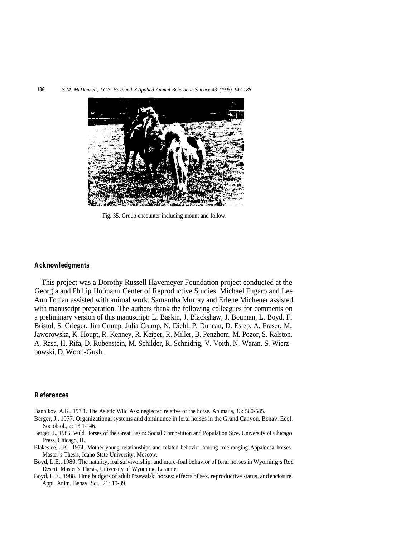**<sup>186</sup>** *S.M. McDonnell, J.C.S. Haviland / Applied Animal Behaviour Science 43 (1995) 147-188*



Fig. 35. Group encounter including mount and follow.

# **Acknowledgments**

This project was a Dorothy Russell Havemeyer Foundation project conducted at the Georgia and Phillip Hofmann Center of Reproductive Studies. Michael Fugaro and Lee Ann Toolan assisted with animal work. Samantha Murray and Erlene Michener assisted with manuscript preparation. The authors thank the following colleagues for comments on a preliminary version of this manuscript: L. Baskin, J. Blackshaw, J. Bouman, L. Boyd, F. Bristol, S. Crieger, Jim Crump, Julia Crump, N. Diehl, P. Duncan, D. Estep, A. Fraser, M. Jaworowska, K. Houpt, R. Kenney, R. Keiper, R. Miller, B. Penzhom, M. Pozor, S. Ralston, A. Rasa, H. Rifa, D. Rubenstein, M. Schilder, R. Schnidrig, V. Voith, N. Waran, S. Wierzbowski, D. Wood-Gush.

# **References**

Bannikov, A.G., 197 1. The Asiatic Wild Ass: neglected relative of the horse. Animalia, 13: 580-585.

- Berger, J., 1977. Organizational systems and dominance in feral horses in the Grand Canyon. Behav. Ecol. Sociobiol., 2: 13 1-146.
- Berger, J., 1986. Wild Horses of the Great Basin: Social Competition and Population Size. University of Chicago Press, Chicago, IL.
- Blakeslee, J.K., 1974. Mother-young relationships and related behavior among free-ranging Appaloosa horses. Master's Thesis, Idaho State University, Moscow.
- Boyd, L.E., 1980. The natality, foal survivorship, and mare-foal behavior of feral horses in Wyoming's Red Desert. Master's Thesis, University of Wyoming, Laramie.
- Boyd, L.E., 1988. Time budgets of adult Przewalski horses: effects of sex, reproductive status, and enciosure. Appl. Anim. Behav. Sci., 21: 19-39.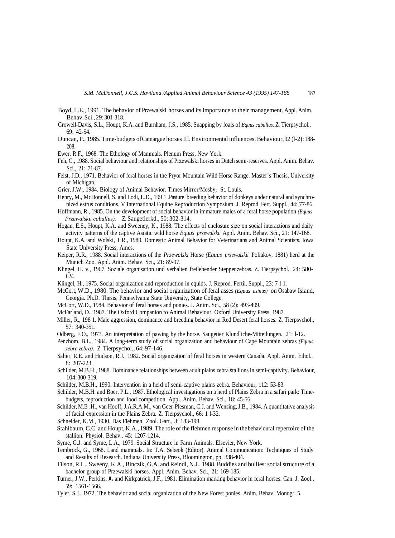- Boyd, L.E., 1991. The behavior of Przewalski horses and its importance to their management. Appl. Anim. Behav. Sci., 29:301-318.
- Crowell-Davis, S.L., Houpt, K.A. and Burnham, J.S., 1985. Snapping by foals of *Equus caballus.* Z. Tierpsychol., 69: 42-54.
- Duncan, P., 1985. Time-budgets ofCamargue horses III. Environmental influences. Behaviour,92 (l-2): 188- 208.

Ewer, R.F., 1968. The Ethology of Mammals. Plenum Press, New York.

- Feh, C., 1988. Social behaviour and relationships of Przewalski horses in Dutch semi-reserves. Appl. Anim. Behav. Sci., 21: 71-87.
- Feist, J.D., 1971. Behavior of feral horses in the Pryor Mountain Wild Horse Range. Master's Thesis, University of Michigan.

Grier, J.W., 1984. Biology of Animal Behavior. Times Mirror/Mosby, St. Louis.

- Henry, M., McDonnell, S. and Lodi, L.D., 199 1 .Pasture breeding behavior of donkeys under natural and synchronized estrus conditions. V International Equine Reproduction Symposium. J. Reprod. Fert. Suppl., 44: 77-86.
- Hoffmann, R., 1985. On the development of social behavior in immature males of a feral horse population *(Equus Przewalskii caballus).* Z. Saugetierkd., 50: 302-314.
- Hogan, E.S., Houpt, K.A. and Sweeney, K., 1988. The effects of enclosure size on social interactions and daily activity patterns of the captive Asiatic wild horse *Equus przewalski.* Appl. Anim. Behav. Sci., 21: 147-168.
- Houpt, K.A. and Wolski, T.R., 1980. Domestic Animal Behavior for Veterinarians and Animal Scientists. Iowa State University Press, Ames.
- Keiper, R.R., 1988. Social interactions of the *Przewalski* Horse *(Equus przewalskii* Poliakov, 1881) herd at the Munich Zoo. Appl. Anim. Behav. Sci., 21: 89-97.
- Klingel, H. v., 1967. Soziale organisation und verhalten freilebender Steppenzebras. Z. Tierpsychol., 24: 580- 624.
- Klingel, H., 1975. Social organization and reproduction in equids. J. Reprod. Fertil. Suppl., 23: 7-l 1.
- McCort, W.D., 1980. The behavior and social organization of feral asses *(Equus asinus)* on Osabaw Island, Georgia. Ph.D. Thesis, Pennsylvania State University, State College.
- McCort, W.D., 1984. Behavior of feral horses and ponies. J. Anim. Sci., 58 (2): 493-499.
- McFarland, D., 1987. The Oxford Companion to Animal Behaviour. Oxford University Press, 1987.
- Miller, R., 198 1. Male aggression, dominance and breeding behavior in Red Desert feral horses. Z. Tierpsychol., 57: 340-351.
- Odberg, F.O., 1973. An interpretation of pawing by the horse. Saugetier Klundliche-Mitteilungen., 21: l-12.
- Penzhom, B.L., 1984. A long-term study of social organization and behaviour of Cape Mountain zebras *(Equus zebra zebra).* Z. Tierpsychol., 64: 97-146.
- Salter, R.E. and Hudson, R.J., 1982. Social organization of feral horses in western Canada. Appl. Anim. Ethol., 8: 207-223.
- Schilder, M.B.H., 1988. Dominance relationships between adult plains zebra stallions in semi-captivity. Behaviour, 104: 300-319.
- Schilder, M.B.H., 1990. Intervention in a herd of semi-captive plains zebra. Behaviour, 112: 53-83.
- Schilder, M.B.H. and Boer, P.L., 1987. Ethological investigations on a herd of Plains Zebra in a safari park: Timebudgets, reproduction and food competition. Appl. Anim. Behav. Sci., 18: 45-56.
- Schilder, M.B .H., van Hooff, J.A.R.A.M., van Geer-Plesman, C.J. and Wensing, J.B., 1984. A quantitative analysis of facial expression in the Plains Zebra. Z. Tierpsychol., 66: 1 l-32.
- Schneider, K.M., 1930. Das Flehmen. Zool. Gart., 3: 183-198.
- Stahlbaum, C.C. and Houpt, K.A., 1989. The role of the flehmen response in the behavioural repertoire of the stallion. Physiol. Behav., 45: 1207-1214.
- Syme, G.J. and Syme, L.A., 1979. Social Structure in Farm Animals. Elsevier, New York.
- Tembrock, G., 1968. Land mammals. In: T.A. Sebeok (Editor), Animal Communication: Techniques of Study and Results of Research. Indiana University Press, Bloomington, pp. 338-404.
- Tilson, R.L., Sweeny, K.A., Binczik, G.A. and Reindl, N.J., 1988. Buddies and bullies: social structure of a bachelor group of Przewalski horses. Appl. Anim. Behav. Sci., 21: 169-185.
- Turner, J.W., Perkins, **A.** and Kirkpatrick, J.F., 1981. Elimination marking behavior in feral horses. Can. J. Zool., 59: 1561-1566.
- Tyler, S.J., 1972. The behavior and social organization of the New Forest ponies. Anim. Behav. Monogr. 5.